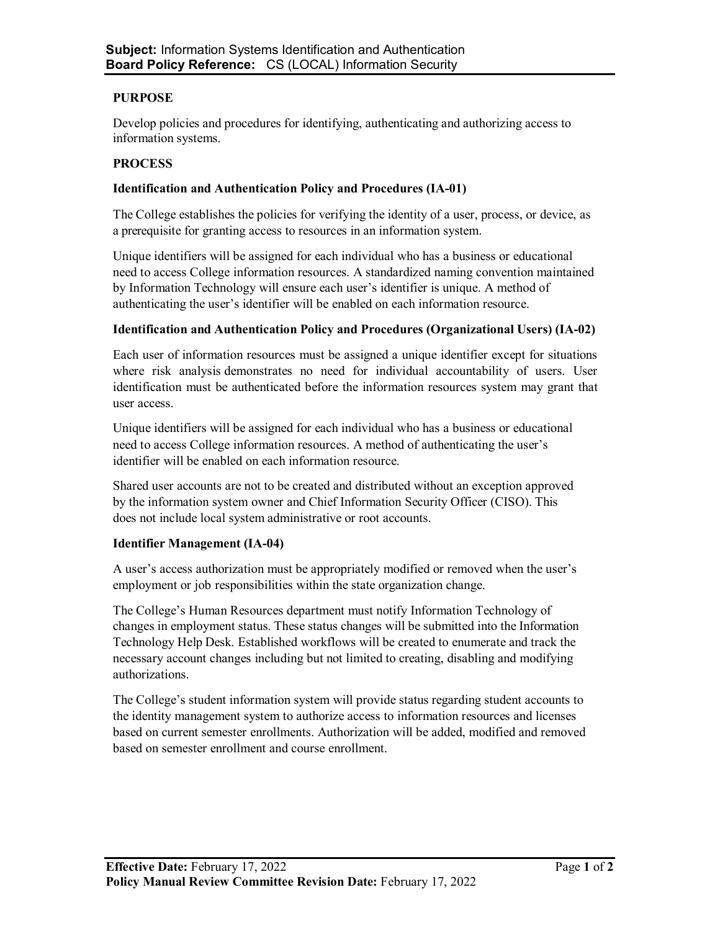# **PURPOSE**

Develop policies and procedures for identifying, authenticating and authorizing access to information systems.

## **PROCESS**

#### **Identification and Authentication Policy and Procedures (IA-01)**

The College establishes the policies for verifying the identity of a user, process, or device, as a prerequisite for granting access to resources in an information system.

Unique identifiers will be assigned for each individual who has a business or educational need to access College information resources. A standardized naming convention maintained by Information Technology will ensure each user's identifier is unique. A method of authenticating the user's identifier will be enabled on each information resource.

#### **Identification and Authentication Policy and Procedures (Organizational Users) (IA-02)**

Each user of information resources must be assigned a unique identifier except for situations where risk analysis demonstrates no need for individual accountability of users. User identification must be authenticated before the information resources system may grant that user access.

Unique identifiers will be assigned for each individual who has a business or educational need to access College information resources. A method of authenticating the user's identifier will be enabled on each information resource.

Shared user accounts are not to be created and distributed without an exception approved by the information system owner and Chief Information Security Officer (CISO). This does not include local system administrative or root accounts.

## **Identifier Management (IA-04)**

A user's access authorization must be appropriately modified or removed when the user's employment or job responsibilities within the state organization change.

The College's Human Resources department must notify Information Technology of changes in employment status. These status changes will be submitted into the Information Technology Help Desk. Established workflows will be created to enumerate and track the necessary account changes including but not limited to creating, disabling and modifying authorizations.

The College's student information system will provide status regarding student accounts to the identity management system to authorize access to information resources and licenses based on current semester enrollments. Authorization will be added, modified and removed based on semester enrollment and course enrollment.